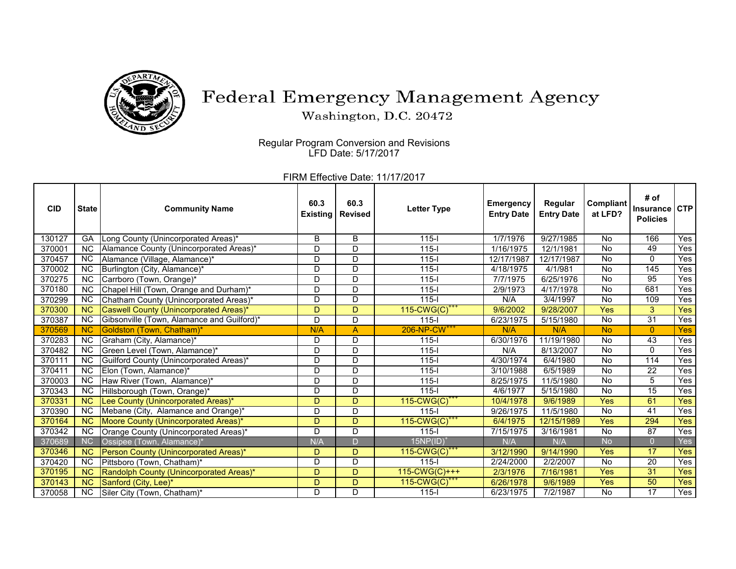

## Federal Emergency Management Agency

Washington, D.C. 20472

 $\overline{a}$ Regular Program Conversion and Revisions LFD Date: 5/17/2017

FIRM Effective Date: 11/17/2017

| <b>CID</b> | <b>State</b>           | <b>Community Name</b>                      | 60.3<br><b>Existing</b> | 60.3<br><b>Revised</b> | <b>Letter Type</b>           | <b>Emergency</b><br><b>Entry Date</b> | Regular<br><b>Entry Date</b> | <b>Compliant</b><br>at LFD? | # of<br>Insurance<br><b>Policies</b> | <b>CTP</b>       |
|------------|------------------------|--------------------------------------------|-------------------------|------------------------|------------------------------|---------------------------------------|------------------------------|-----------------------------|--------------------------------------|------------------|
| 130127     | GA                     | Long County (Unincorporated Areas)*        | B                       | B                      | $115 -$                      | 1/7/1976                              | 9/27/1985                    | <b>No</b>                   | 166                                  | Yes              |
| 370001     | <b>NC</b>              | Alamance County (Unincorporated Areas)*    | D                       | D                      | $115 -$                      | 1/16/1975                             | 12/1/1981                    | <b>No</b>                   | 49                                   | Yes              |
| 370457     | <b>NC</b>              | Alamance (Village, Alamance)*              | D                       | D                      | $115 -$                      | 12/17/1987                            | 12/17/1987                   | <b>No</b>                   | 0                                    | Yes              |
| 370002     | <b>NC</b>              | Burlington (City, Alamance)*               | D                       | $\overline{D}$         | $115 -$                      | 4/18/1975                             | 4/1/981                      | <b>No</b>                   | 145                                  | Yes              |
| 370275     | <b>NC</b>              | Carrboro (Town, Orange)*                   | D                       | D                      | $115 -$                      | 7/7/1975                              | 6/25/1976                    | <b>No</b>                   | 95                                   | Yes              |
| 370180     | <b>NC</b>              | Chapel Hill (Town, Orange and Durham)*     | D                       | $\overline{D}$         | $115 -$                      | 2/9/1973                              | 4/17/1978                    | <b>No</b>                   | 681                                  | Yes              |
| 370299     | <b>NC</b>              | Chatham County (Unincorporated Areas)*     | D                       | D                      | $115 -$                      | N/A                                   | 3/4/1997                     | <b>No</b>                   | 109                                  | Yes              |
| 370300     | $\overline{\text{NC}}$ | Caswell County (Unincorporated Areas)*     | D                       | D.                     | 115-CWG(C) <sup>***</sup>    | 9/6/2002                              | 9/28/2007                    | <b>Yes</b>                  | 3                                    | Yes <sub>l</sub> |
| 370387     | N <sub>C</sub>         | Gibsonville (Town, Alamance and Guilford)* | D                       | D                      | $115 -$                      | 6/23/1975                             | 5/15/1980                    | <b>No</b>                   | $\overline{31}$                      | Yes              |
| 370569     | <b>NC</b>              | Goldston (Town, Chatham)*                  | N/A                     | $\overline{A}$         | 206-NP-CW <sup>+++</sup>     | N/A                                   | N/A                          | <b>No</b>                   | $\overline{0}$                       | Yes              |
| 370283     | <b>NC</b>              | Graham (City, Alamance)*                   | D                       | D                      | $115 -$                      | 6/30/1976                             | 11/19/1980                   | <b>No</b>                   | 43                                   | Yes              |
| 370482     | <b>NC</b>              | Green Level (Town, Alamance)*              | D                       | D                      | $115 -$                      | N/A                                   | 8/13/2007                    | <b>No</b>                   | 0                                    | Yes              |
| 370111     | <b>NC</b>              | Guilford County (Unincorporated Areas)*    | D                       | D                      | $115 -$                      | 4/30/1974                             | 6/4/1980                     | <b>No</b>                   | 114                                  | Yes              |
| 370411     | <b>NC</b>              | Elon (Town, Alamance)*                     | D                       | D                      | $115 -$                      | 3/10/1988                             | 6/5/1989                     | <b>No</b>                   | 22                                   | Yes              |
| 370003     | <b>NC</b>              | Haw River (Town, Alamance)*                | D                       | $\overline{D}$         | $115 -$                      | 8/25/1975                             | 11/5/1980                    | $\overline{N}$              | 5                                    | Yes              |
| 370343     | <b>NC</b>              | Hillsborough (Town, Orange)*               | D                       | D                      | $115 -$                      | 4/6/1977                              | 5/15/1980                    | <b>No</b>                   | 15                                   | Yes              |
| 370331     | $\overline{\text{NC}}$ | Lee County (Unincorporated Areas)*         | D                       | D                      | $115$ -CWG(C) <sup>+++</sup> | 10/4/1978                             | 9/6/1989                     | <b>Yes</b>                  | 61                                   | <b>Yes</b>       |
| 370390     | <b>NC</b>              | Mebane (City, Alamance and Orange)*        | D                       | D                      | $115 -$                      | 9/26/1975                             | 11/5/1980                    | <b>No</b>                   | 41                                   | Yes              |
| 370164     | <b>NC</b>              | Moore County (Unincorporated Areas)*       | D                       | D                      | $115$ -CWG(C) <sup>+++</sup> | 6/4/1975                              | 12/15/1989                   | <b>Yes</b>                  | 294                                  | <b>Yes</b>       |
| 370342     | <b>NC</b>              | Orange County (Unincorporated Areas)*      | D                       | D                      | $115 -$                      | 7/15/1975                             | 3/16/1981                    | <b>No</b>                   | 87                                   | Yes              |
| 370689     | NC                     | Ossipee (Town, Alamance)*                  | N/A                     | $\overline{D}$         | 15NP(ID)                     | N/A                                   | N/A                          | <b>No</b>                   | $\overline{0}$                       | Yes              |
| 370346     | <b>NC</b>              | Person County (Unincorporated Areas)*      | D                       | D                      | $115$ -CWG(C) <sup>+</sup>   | 3/12/1990                             | 9/14/1990                    | <b>Yes</b>                  | $\overline{17}$                      | <b>Yes</b>       |
| 370420     | <b>NC</b>              | Pittsboro (Town, Chatham)*                 | D                       | D                      | $115 -$                      | 2/24/2000                             | 2/2/2007                     | <b>No</b>                   | 20                                   | Yes              |
| 370195     | <b>NC</b>              | Randolph County (Unincorporated Areas)*    | D                       | D.                     | 115-CWG(C)+++                | 2/3/1976                              | 7/16/1981                    | <b>Yes</b>                  | 31                                   | <b>Yes</b>       |
| 370143     | <b>NC</b>              | Sanford (City, Lee)*                       | D                       | D                      | $115$ -CWG(C) <sup>*</sup>   | 6/26/1978                             | 9/6/1989                     | <b>Yes</b>                  | 50                                   | Yes              |
| 370058     | NC                     | Siler City (Town, Chatham)*                | D                       | D                      | $115 -$                      | 6/23/1975                             | 7/2/1987                     | <b>No</b>                   | $\overline{17}$                      | Yes              |